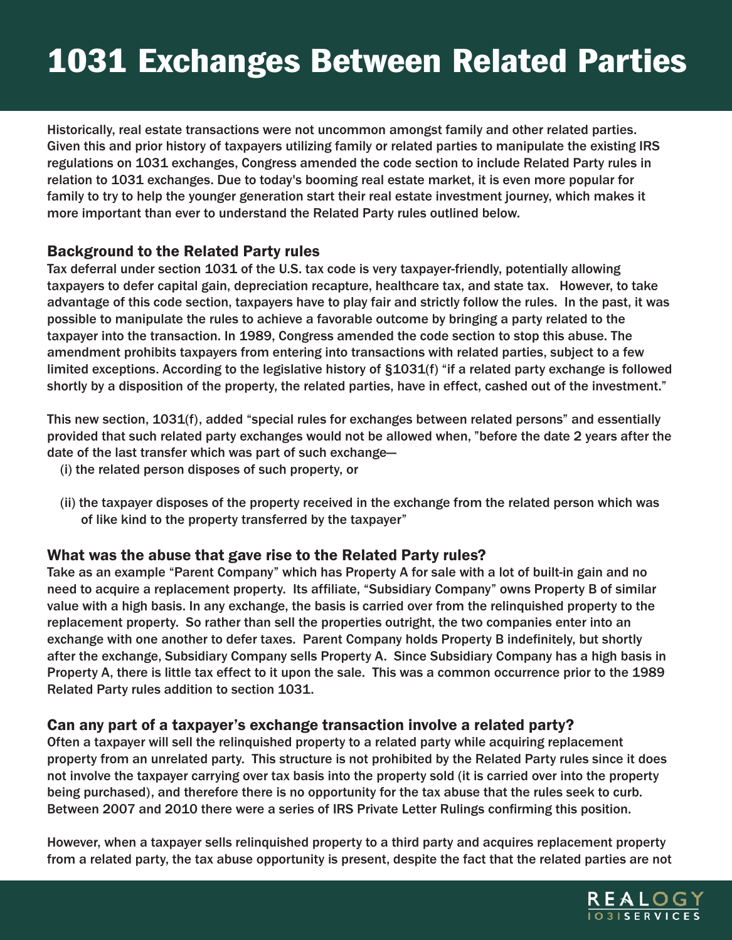# 1031 Exchanges Between Related Parties

Historically, real estate transactions were not uncommon amongst family and other related parties. Given this and prior history of taxpayers utilizing family or related parties to manipulate the existing IRS regulations on 1031 exchanges, Congress amended the code section to include Related Party rules in relation to 1031 exchanges. Due to today's booming real estate market, it is even more popular for family to try to help the younger generation start their real estate investment journey, which makes it more important than ever to understand the Related Party rules outlined below.

#### Background to the Related Party rules

Tax deferral under section 1031 of the U.S. tax code is very taxpayer-friendly, potentially allowing taxpayers to defer capital gain, depreciation recapture, healthcare tax, and state tax. However, to take advantage of this code section, taxpayers have to play fair and strictly follow the rules. In the past, it was possible to manipulate the rules to achieve a favorable outcome by bringing a party related to the taxpayer into the transaction. In 1989, Congress amended the code section to stop this abuse. The amendment prohibits taxpayers from entering into transactions with related parties, subject to a few limited exceptions. According to the legislative history of §1031(f) "if a related party exchange is followed shortly by a disposition of the property, the related parties, have in effect, cashed out of the investment."

This new section, 1031(f), added "special rules for exchanges between related persons" and essentially provided that such related party exchanges would not be allowed when, "before the date 2 years after the date of the last transfer which was part of such exchange—

- (i) the related person disposes of such property, or
- (ii) the taxpayer disposes of the property received in the exchange from the related person which was of like kind to the property transferred by the taxpayer"

## What was the abuse that gave rise to the Related Party rules?

Take as an example "Parent Company" which has Property A for sale with a lot of built-in gain and no need to acquire a replacement property. Its affiliate, "Subsidiary Company" owns Property B of similar value with a high basis. In any exchange, the basis is carried over from the relinquished property to the replacement property. So rather than sell the properties outright, the two companies enter into an exchange with one another to defer taxes. Parent Company holds Property B indefinitely, but shortly after the exchange, Subsidiary Company sells Property A. Since Subsidiary Company has a high basis in Property A, there is little tax effect to it upon the sale. This was a common occurrence prior to the 1989 Related Party rules addition to section 1031.

#### Can any part of a taxpayer's exchange transaction involve a related party?

Often a taxpayer will sell the relinquished property to a related party while acquiring replacement property from an unrelated party. This structure is not prohibited by the Related Party rules since it does not involve the taxpayer carrying over tax basis into the property sold (it is carried over into the property being purchased), and therefore there is no opportunity for the tax abuse that the rules seek to curb. Between 2007 and 2010 there were a series of IRS Private Letter Rulings confirming this position.

However, when a taxpayer sells relinquished property to a third party and acquires replacement property from a related party, the tax abuse opportunity is present, despite the fact that the related parties are not